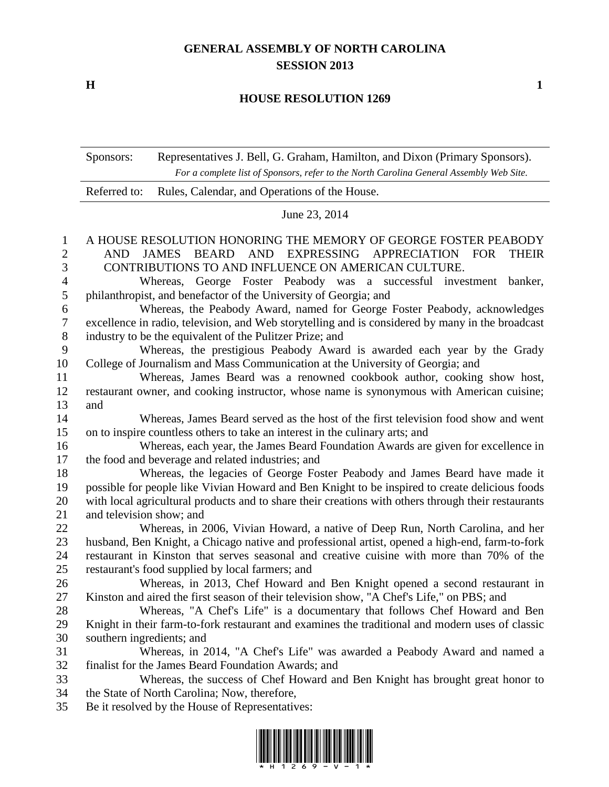## **GENERAL ASSEMBLY OF NORTH CAROLINA SESSION 2013**

**H 1**

## **HOUSE RESOLUTION 1269**

|                  | Sponsors:                                                                                                                       | Representatives J. Bell, G. Graham, Hamilton, and Dixon (Primary Sponsors).<br>For a complete list of Sponsors, refer to the North Carolina General Assembly Web Site.                      |  |
|------------------|---------------------------------------------------------------------------------------------------------------------------------|---------------------------------------------------------------------------------------------------------------------------------------------------------------------------------------------|--|
|                  | Referred to:                                                                                                                    | Rules, Calendar, and Operations of the House.                                                                                                                                               |  |
|                  | June 23, 2014                                                                                                                   |                                                                                                                                                                                             |  |
| $\mathbf{1}$     |                                                                                                                                 | A HOUSE RESOLUTION HONORING THE MEMORY OF GEORGE FOSTER PEABODY                                                                                                                             |  |
| 2                | <b>JAMES</b><br>BEARD AND EXPRESSING<br>APPRECIATION FOR<br><b>AND</b><br><b>THEIR</b>                                          |                                                                                                                                                                                             |  |
| 3                | CONTRIBUTIONS TO AND INFLUENCE ON AMERICAN CULTURE.                                                                             |                                                                                                                                                                                             |  |
| $\overline{4}$   | Whereas, George Foster Peabody was a successful investment banker,                                                              |                                                                                                                                                                                             |  |
| $\mathfrak{S}$   | philanthropist, and benefactor of the University of Georgia; and                                                                |                                                                                                                                                                                             |  |
| 6                | Whereas, the Peabody Award, named for George Foster Peabody, acknowledges                                                       |                                                                                                                                                                                             |  |
| $\boldsymbol{7}$ | excellence in radio, television, and Web storytelling and is considered by many in the broadcast                                |                                                                                                                                                                                             |  |
| 8                | industry to be the equivalent of the Pulitzer Prize; and                                                                        |                                                                                                                                                                                             |  |
| 9                |                                                                                                                                 | Whereas, the prestigious Peabody Award is awarded each year by the Grady                                                                                                                    |  |
| 10               | College of Journalism and Mass Communication at the University of Georgia; and                                                  |                                                                                                                                                                                             |  |
| 11               | Whereas, James Beard was a renowned cookbook author, cooking show host,                                                         |                                                                                                                                                                                             |  |
| 12               | restaurant owner, and cooking instructor, whose name is synonymous with American cuisine;                                       |                                                                                                                                                                                             |  |
| 13               | and                                                                                                                             |                                                                                                                                                                                             |  |
| 14               |                                                                                                                                 | Whereas, James Beard served as the host of the first television food show and went                                                                                                          |  |
| 15               | on to inspire countless others to take an interest in the culinary arts; and                                                    |                                                                                                                                                                                             |  |
| 16               | Whereas, each year, the James Beard Foundation Awards are given for excellence in                                               |                                                                                                                                                                                             |  |
| 17               | the food and beverage and related industries; and                                                                               |                                                                                                                                                                                             |  |
| 18               | Whereas, the legacies of George Foster Peabody and James Beard have made it                                                     |                                                                                                                                                                                             |  |
| 19               | possible for people like Vivian Howard and Ben Knight to be inspired to create delicious foods                                  |                                                                                                                                                                                             |  |
| 20               | with local agricultural products and to share their creations with others through their restaurants<br>and television show; and |                                                                                                                                                                                             |  |
| 21               |                                                                                                                                 |                                                                                                                                                                                             |  |
| 22               |                                                                                                                                 | Whereas, in 2006, Vivian Howard, a native of Deep Run, North Carolina, and her                                                                                                              |  |
| 23<br>24         |                                                                                                                                 | husband, Ben Knight, a Chicago native and professional artist, opened a high-end, farm-to-fork<br>restaurant in Kinston that serves seasonal and creative cuisine with more than 70% of the |  |
| 25               |                                                                                                                                 | restaurant's food supplied by local farmers; and                                                                                                                                            |  |
| 26               |                                                                                                                                 | Whereas, in 2013, Chef Howard and Ben Knight opened a second restaurant in                                                                                                                  |  |
| 27               |                                                                                                                                 | Kinston and aired the first season of their television show, "A Chef's Life," on PBS; and                                                                                                   |  |
| 28               |                                                                                                                                 | Whereas, "A Chef's Life" is a documentary that follows Chef Howard and Ben                                                                                                                  |  |
| 29               |                                                                                                                                 | Knight in their farm-to-fork restaurant and examines the traditional and modern uses of classic                                                                                             |  |
| 30               | southern ingredients; and                                                                                                       |                                                                                                                                                                                             |  |
| 31               |                                                                                                                                 | Whereas, in 2014, "A Chef's Life" was awarded a Peabody Award and named a                                                                                                                   |  |
| 32               |                                                                                                                                 | finalist for the James Beard Foundation Awards; and                                                                                                                                         |  |
| 33               |                                                                                                                                 | Whereas, the success of Chef Howard and Ben Knight has brought great honor to                                                                                                               |  |
| 34               |                                                                                                                                 | the State of North Carolina; Now, therefore,                                                                                                                                                |  |
| 35               |                                                                                                                                 | Be it resolved by the House of Representatives:                                                                                                                                             |  |
|                  |                                                                                                                                 |                                                                                                                                                                                             |  |